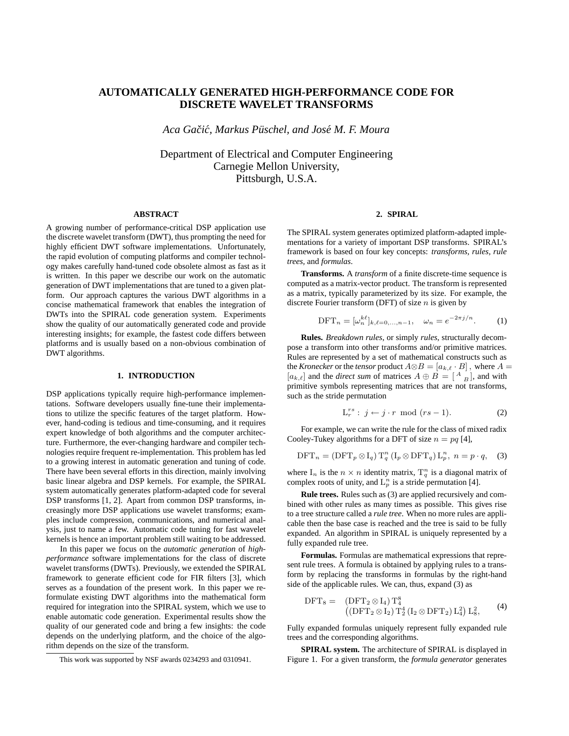# **AUTOMATICALLY GENERATED HIGH-PERFORMANCE CODE FOR DISCRETE WAVELET TRANSFORMS**

*Aca Gaciˇ c,´ Markus Pusc ¨ hel, and Jose´ M. F. Moura*

Department of Electrical and Computer Engineering Carnegie Mellon University, Pittsburgh, U.S.A.

### **ABSTRACT**

A growing number of performance-critical DSP application use the discrete wavelet transform (DWT), thus prompting the need for highly efficient DWT software implementations. Unfortunately, the rapid evolution of computing platforms and compiler technology makes carefully hand-tuned code obsolete almost as fast as it is written. In this paper we describe our work on the automatic generation of DWT implementations that are tuned to a given platform. Our approach captures the various DWT algorithms in a concise mathematical framework that enables the integration of DWTs into the SPIRAL code generation system. Experiments show the quality of our automatically generated code and provide interesting insights; for example, the fastest code differs between platforms and is usually based on a non-obvious combination of DWT algorithms.

#### **1. INTRODUCTION**

DSP applications typically require high-performance implementations. Software developers usually fine-tune their implementations to utilize the specific features of the target platform. However, hand-coding is tedious and time-consuming, and it requires expert knowledge of both algorithms and the computer architecture. Furthermore, the ever-changing hardware and compiler technologies require frequent re-implementation. This problem has led to a growing interest in automatic generation and tuning of code. There have been several efforts in this direction, mainly involving basic linear algebra and DSP kernels. For example, the SPIRAL system automatically generates platform-adapted code for several DSP transforms [1, 2]. Apart from common DSP transforms, increasingly more DSP applications use wavelet transforms; examples include compression, communications, and numerical analysis, just to name a few. Automatic code tuning for fast wavelet kernels is hence an important problem still waiting to be addressed.

In this paper we focus on the *automatic generation* of *highperformance* software implementations for the class of discrete wavelet transforms (DWTs). Previously, we extended the SPIRAL framework to generate efficient code for FIR filters [3], which serves as a foundation of the present work. In this paper we reformulate existing DWT algorithms into the mathematical form required for integration into the SPIRAL system, which we use to enable automatic code generation. Experimental results show the quality of our generated code and bring a few insights: the code depends on the underlying platform, and the choice of the algorithm depends on the size of the transform.

### **2. SPIRAL**

The SPIRAL system generates optimized platform-adapted implementations for a variety of important DSP transforms. SPIRAL's framework is based on four key concepts: *transforms, rules, rule trees,* and *formulas*.

**Transforms.** A *transform* of a finite discrete-time sequence is computed as a matrix-vector product. The transform is represented as a matrix, typically parameterized by its size. For example, the discrete Fourier transform (DFT) of size  $n$  is given by

$$
\text{DFT}_n = [\omega_n^{k\ell}]_{k,\ell=0,\dots,n-1}, \quad \omega_n = e^{-2\pi j/n}.
$$
 (1)

**Rules.** *Breakdown rules*, or simply *rules*, structurally decompose a transform into other transforms and/or primitive matrices. Rules are represented by a set of mathematical constructs such as the *Kronecker* or the *tensor* product  $A \otimes B = [a_{k,\ell} \cdot B]$ , where  $A =$  $[a_{k,\ell}]$  and the *direct sum* of matrices  $A \oplus B = \begin{bmatrix} A & B \end{bmatrix}$ , and with primitive symbols representing matrices that are not transforms, such as the stride permutation

$$
\mathcal{L}_r^{rs}: j \leftarrow j \cdot r \mod (rs-1). \tag{2}
$$

For example, we can write the rule for the class of mixed radix Cooley-Tukey algorithms for a DFT of size  $n = pq$  [4],

$$
\text{DFT}_n = (\text{DFT}_p \otimes I_q) T_q^n (I_p \otimes \text{DFT}_q) L_p^n, \ n = p \cdot q, \quad (3)
$$

where  $I_n$  is the  $n \times n$  identity matrix,  $T_q^n$  is a diagonal matrix of complex roots of unity, and  $L_p^n$  is a stride permutation [4].

**Rule trees.** Rules such as (3) are applied recursively and combined with other rules as many times as possible. This gives rise to a tree structure called a *rule tree*. When no more rules are applicable then the base case is reached and the tree is said to be fully expanded. An algorithm in SPIRAL is uniquely represented by a fully expanded rule tree.

**Formulas.** Formulas are mathematical expressions that represent rule trees. A formula is obtained by applying rules to a transform by replacing the transforms in formulas by the right-hand side of the applicable rules. We can, thus, expand (3) as

$$
DFT_8 = (DFT_2 \otimes I_4) T_4^8
$$
  

$$
((DFT_2 \otimes I_2) T_2^4 (I_2 \otimes DFT_2) L_4^2) L_8^2,
$$
 (4)

Fully expanded formulas uniquely represent fully expanded rule trees and the corresponding algorithms.

**SPIRAL system.** The architecture of SPIRAL is displayed in Figure 1. For a given transform, the *formula generator* generates

This work was supported by NSF awards 0234293 and 0310941.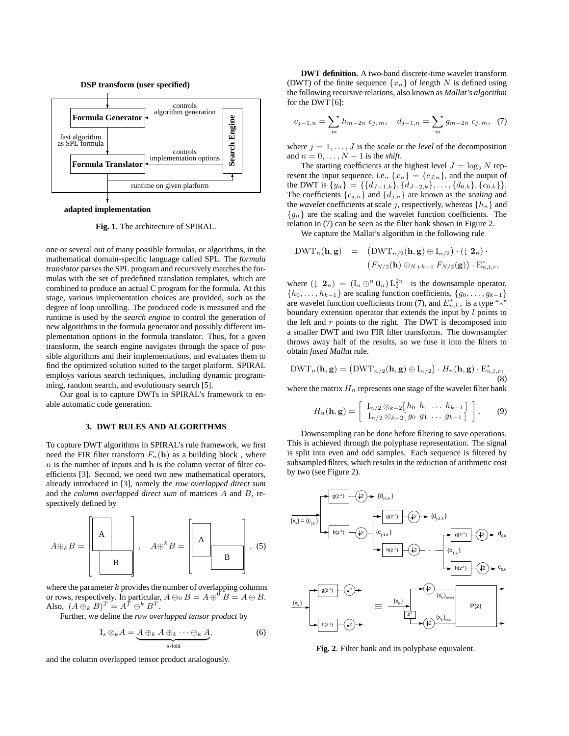

**adapted implementation**

**Fig. 1**. The architecture of SPIRAL.

one or several out of many possible formulas, or algorithms, in the mathematical domain-specific language called SPL. The *formula translator* parses the SPL program and recursively matches the formulas with the set of predefined translation templates, which are combined to produce an actual C program for the formula. At this stage, various implementation choices are provided, such as the degree of loop unrolling. The produced code is measured and the runtime is used by the *search engine* to control the generation of new algorithms in the formula generator and possibly different implementation options in the formula translator. Thus, for a given transform, the search engine navigates through the space of possible algorithms and their implementations, and evaluates them to find the optimized solution suited to the target platform. SPIRAL employs various search techniques, including dynamic programming, random search, and evolutionary search [5].

Our goal is to capture DWTs in SPIRAL's framework to enable automatic code generation.

#### **3. DWT RULES AND ALGORITHMS**

To capture DWT algorithms in SPIRAL's rule framework, we first need the FIR filter transform  $F_n(\mathbf{h})$  as a building block, where  $n$  is the number of inputs and  $h$  is the column vector of filter coefficients [3]. Second, we need two new mathematical operators, already introduced in [3], namely the *row overlapped direct sum* and the *column overlapped direct sum* of matrices A and B, respectively defined by



where the parameter  $k$  provides the number of overlapping columns or rows, respectively. In particular,  $A \oplus_0 B = A \oplus^0 B = A \oplus B$ . Also,  $(A \oplus_k B)^T = A^T \oplus^k B^T$ .

Further, we define the *row overlapped tensor product* by

$$
I_s \otimes_k A = \underbrace{A \oplus_k A \oplus_k \cdots \oplus_k A}_{s \text{-fold}}, \tag{6}
$$

and the column overlapped tensor product analogously.

**DWT definition.** A two-band discrete-time wavelet transform (DWT) of the finite sequence  $\{x_n\}$  of length N is defined using the following recursive relations, also known as *Mallat's algorithm* for the DWT [6]:

$$
c_{j-1,n} = \sum_{m} h_{m-2n} c_{j,m}, \quad d_{j-1,n} = \sum_{m} g_{m-2n} c_{j,m}, \quad (7)
$$

where  $j = 1, \ldots, J$  is the *scale* or the *level* of the decomposition and  $n = 0, \ldots, N - 1$  is the *shift*.

The starting coefficients at the highest level  $J = \log_2 N$  represent the input sequence, i.e.,  $\{x_n\} = \{c_{J,n}\}\$ , and the output of the DWT is  $\{y_n\} = \{\{d_{J-1,k}\}, \{d_{J-2,k}\}, \ldots, \{d_{0,k}\}, \{c_{0,k}\}\}.$ The coefficients  $\{c_{j,n}\}\$  and  $\{d_{j,n}\}\$  are known as the *scaling* and the *wavelet* coefficients at scale j, respectively, whereas  $\{h_n\}$  and  ${g_n}$  are the scaling and the wavelet function coefficients. The relation in (7) can be seen as the filter bank shown in Figure 2.

We capture the Mallat's algorithm in the following rule

$$
DWT_n(\mathbf{h}, \mathbf{g}) = (DWT_{n/2}(\mathbf{h}, \mathbf{g}) \oplus I_{n/2}) \cdot (\downarrow 2_n) \cdot (\downarrow 2_n)
$$

$$
(F_{N/2}(\mathbf{h}) \oplus_{N+k-1} F_{N/2}(\mathbf{g})) \cdot E_{n,l,r}^*,
$$

where  $(1 \ 2_n) = (\mathbf{I}_n \oplus^n \mathbf{0}_n) \mathbf{L}_2^{2n}$  is the downsample operator,  $\{h_0, \ldots, h_{k-1}\}\$  are scaling function coefficients,  $\{g_0, \ldots, g_{k-1}\}\$ are wavelet function coefficients from (7), and  $E_{n,l,r}^*$  is a type "\*" boundary extension operator that extends the input by  $l$  points to the left and  $r$  points to the right. The DWT is decomposed into a smaller DWT and two FIR filter transforms. The downsampler throws away half of the results, so we fuse it into the filters to obtain *fused Mallat* rule.

$$
\text{DWT}_n(\mathbf{h}, \mathbf{g}) = (\text{DWT}_{n/2}(\mathbf{h}, \mathbf{g}) \oplus I_{n/2}) \cdot H_n(\mathbf{h}, \mathbf{g}) \cdot \mathbf{E}_{n,l,r}^*,
$$
(8)

where the matrix  $H_n$  represents one stage of the wavelet filter bank

$$
H_n(\mathbf{h}, \mathbf{g}) = \left[ \begin{array}{c} I_{n/2} \otimes_{k-2} [h_0 \ h_1 \ \dots \ h_{k-1}] \\ I_{n/2} \otimes_{k-2} [g_0 \ g_1 \ \dots \ g_{k-1}] \end{array} \right].
$$
 (9)

Downsampling can be done before filtering to save operations. This is achieved through the polyphase representation. The signal is split into even and odd samples. Each sequence is filtered by subsampled filters, which results in the reduction of arithmetic cost by two (see Figure 2).



**Fig. 2**. Filter bank and its polyphase equivalent.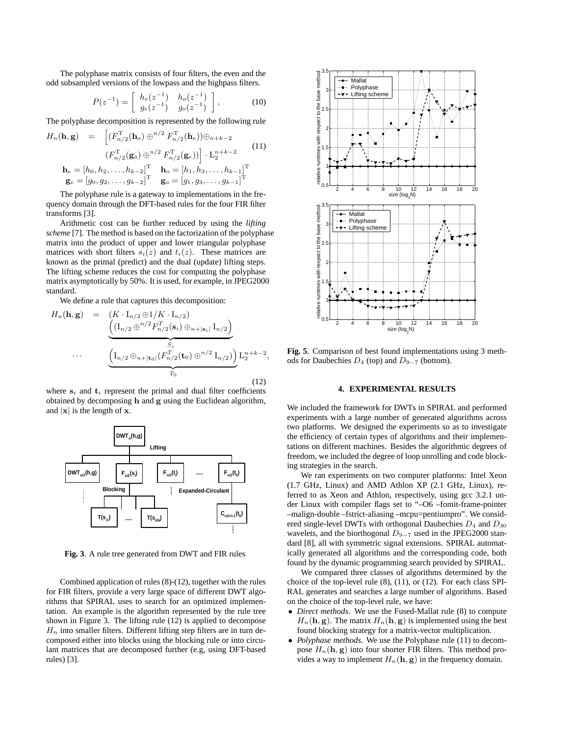The polyphase matrix consists of four filters, the even and the odd subsampled versions of the lowpass and the highpass filters.

$$
P(z^{-1}) = \begin{bmatrix} h_e(z^{-1}) & h_o(z^{-1}) \\ g_e(z^{-1}) & g_o(z^{-1}) \end{bmatrix},
$$
 (10)

The polyphase decomposition is represented by the following rule

$$
H_n(\mathbf{h}, \mathbf{g}) = \begin{bmatrix} (F_{n/2}^{\mathrm{T}}(\mathbf{h}_o) \oplus^{n/2} F_{n/2}^{\mathrm{T}}(\mathbf{h}_e)) \oplus_{n+k-2} \\ (F_{n/2}^{\mathrm{T}}(\mathbf{g}_o) \oplus^{n/2} F_{n/2}^{\mathrm{T}}(\mathbf{g}_e)) \end{bmatrix} \cdot L_2^{n+k-2}
$$
\n
$$
\mathbf{h}_e = [h_0, h_2, \dots, h_{k-2}]^{\mathrm{T}} \quad \mathbf{h}_o = [h_1, h_3, \dots, h_{k-1}]^{\mathrm{T}} \quad \mathbf{g}_e = [g_0, g_2, \dots, g_{k-2}]^{\mathrm{T}} \quad \mathbf{g}_o = [g_1, g_3, \dots, g_{k-1}]^{\mathrm{T}}
$$
\n(11)

The polyphase rule is a gateway to implementations in the frequency domain through the DFT-based rules for the four FIR filter transforms [3].

Arithmetic cost can be further reduced by using the *lifting scheme* [7]. The method is based on the factorization of the polyphase matrix into the product of upper and lower triangular polyphase matrices with short filters  $s_i(z)$  and  $t_i(z)$ . These matrices are known as the primal (predict) and the dual (update) lifting steps. The lifting scheme reduces the cost for computing the polyphase matrix asymptotically by 50%. It is used, for example, in JPEG2000 standard.

We define a rule that captures this decomposition:

$$
H_n(\mathbf{h}, \mathbf{g}) = \underbrace{\begin{pmatrix} K \cdot \mathbf{I}_{n/2} \oplus 1/K \cdot \mathbf{I}_{n/2} \end{pmatrix}}_{\mathcal{H}_n/2} \underbrace{\begin{pmatrix} (\mathbf{I}_{n/2} \oplus^{n/2} F_{n/2}^T(\mathbf{s}_i) \oplus_{n+|\mathbf{s}_i|} \mathbf{I}_{n/2}) \end{pmatrix}}_{S_i} \cdots}_{\mathcal{H}_0} \underbrace{\begin{pmatrix} \mathbf{I}_{n/2} \oplus_{n+|\mathbf{t}_0|} (F_{n/2}^T(\mathbf{t}_0) \oplus^{n/2} \mathbf{I}_{n/2}) \end{pmatrix}}_{T_0} \mathbf{L}_2^{n+k-2},
$$
\n(12)

where  $s_i$  and  $t_i$  represent the primal and dual filter coefficients obtained by decomposing h and g using the Euclidean algorithm, and  $|x|$  is the length of x.



**Fig. 3**. A rule tree generated from DWT and FIR rules

Combined application of rules (8)-(12), together with the rules for FIR filters, provide a very large space of different DWT algorithms that SPIRAL uses to search for an optimized implementation. An example is the algorithm represented by the rule tree shown in Figure 3. The lifting rule (12) is applied to decompose  $H_n$  into smaller filters. Different lifting step filters are in turn decomposed either into blocks using the blocking rule or into circulant matrices that are decomposed further (e.g, using DFT-based rules) [3].



**Fig. 5**. Comparison of best found implementations using 3 methods for Daubechies  $D_4$  (top) and  $D_{9-7}$  (bottom).

#### **4. EXPERIMENTAL RESULTS**

We included the framework for DWTs in SPIRAL and performed experiments with a large number of generated algorithms across two platforms. We designed the experiments so as to investigate the efficiency of certain types of algorithms and their implementations on different machines. Besides the algorithmic degrees of freedom, we included the degree of loop unrolling and code blocking strategies in the search.

We ran experiments on two computer platforms: Intel Xeon (1.7 GHz, Linux) and AMD Athlon XP (2.1 GHz, Linux), referred to as Xeon and Athlon, respectively, using gcc 3.2.1 under Linux with compiler flags set to "–O6 –fomit-frame-pointer –malign-double –fstrict-aliasing –mcpu=pentiumpro". We considered single-level DWTs with orthogonal Daubechies  $D_4$  and  $D_{30}$ wavelets, and the biorthogonal  $D_{9-7}$  used in the JPEG2000 standard [8], all with symmetric signal extensions. SPIRAL automatically generated all algorithms and the corresponding code, both found by the dynamic programming search provided by SPIRAL.

We compared three classes of algorithms determined by the choice of the top-level rule (8), (11), or (12). For each class SPI-RAL generates and searches a large number of algorithms. Based on the choice of the top-level rule, we have:

- *Direct methods*. We use the Fused-Mallat rule (8) to compute  $H_n(\mathbf{h}, \mathbf{g})$ . The matrix  $H_n(\mathbf{h}, \mathbf{g})$  is implemented using the best found blocking strategy for a matrix-vector multiplication.
- *Polyphase methods*. We use the Polyphase rule (11) to decompose  $H_n(\mathbf{h}, \mathbf{g})$  into four shorter FIR filters. This method provides a way to implement  $H_n(\mathbf{h}, \mathbf{g})$  in the frequency domain.